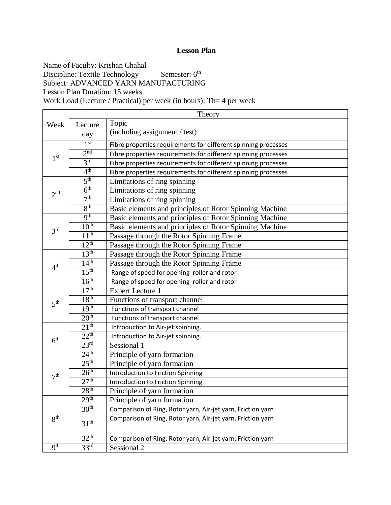Name of Faculty: Krishan Chahal Discipline: Textile Technology Semester: 6<sup>th</sup> Subject: ADVANCED YARN MANUFACTURING Lesson Plan Duration: 15 weeks Work Load (Lecture / Practical) per week (in hours): Th= 4 per week

|                 |                  | Theory                                                         |
|-----------------|------------------|----------------------------------------------------------------|
| Week            | Lecture          | Topic                                                          |
|                 | day              | (including assignment / test)                                  |
|                 | 1 <sup>st</sup>  | Fibre properties requirements for different spinning processes |
| 1 <sup>st</sup> | 2 <sup>nd</sup>  | Fibre properties requirements for different spinning processes |
|                 | 3 <sup>rd</sup>  | Fibre properties requirements for different spinning processes |
|                 | 4 <sup>th</sup>  | Fibre properties requirements for different spinning processes |
|                 | 5 <sup>th</sup>  | Limitations of ring spinning                                   |
| 2 <sup>nd</sup> | 6 <sup>th</sup>  | Limitations of ring spinning                                   |
|                 | 7 <sup>th</sup>  | Limitations of ring spinning                                   |
|                 | 8 <sup>th</sup>  | Basic elements and principles of Rotor Spinning Machine        |
|                 | <b>9th</b>       | Basic elements and principles of Rotor Spinning Machine        |
| 3 <sup>rd</sup> | 10 <sup>th</sup> | Basic elements and principles of Rotor Spinning Machine        |
|                 | 11 <sup>th</sup> | Passage through the Rotor Spinning Frame                       |
|                 | $12^{th}$        | Passage through the Rotor Spinning Frame                       |
|                 | 13 <sup>th</sup> | Passage through the Rotor Spinning Frame                       |
| 4 <sup>th</sup> | 14 <sup>th</sup> | Passage through the Rotor Spinning Frame                       |
|                 | 15 <sup>th</sup> | Range of speed for opening roller and rotor                    |
|                 | 16 <sup>th</sup> | Range of speed for opening roller and rotor                    |
|                 | 17 <sup>th</sup> | <b>Expert Lecture 1</b>                                        |
| 5 <sup>th</sup> | 18 <sup>th</sup> | Functions of transport channel                                 |
|                 | 19 <sup>th</sup> | Functions of transport channel                                 |
|                 | 20 <sup>th</sup> | Functions of transport channel                                 |
|                 | 21 <sup>th</sup> | Introduction to Air-jet spinning.                              |
|                 | 22 <sup>th</sup> | Introduction to Air-jet spinning.                              |
| 6 <sup>th</sup> | 23 <sup>rd</sup> | Sessional 1                                                    |
|                 | 24 <sup>th</sup> | Principle of yarn formation                                    |
|                 | 25 <sup>th</sup> | Principle of yarn formation                                    |
| 7 <sup>th</sup> | 26 <sup>th</sup> | <b>Introduction to Friction Spinning</b>                       |
|                 | 27 <sup>th</sup> | Introduction to Friction Spinning                              |
|                 | 28 <sup>th</sup> | Principle of yarn formation                                    |
|                 | 29 <sup>th</sup> | Principle of yarn formation.                                   |
| 8 <sup>th</sup> | 30 <sup>th</sup> | Comparison of Ring, Rotor yarn, Air-jet yarn, Friction yarn    |
|                 | $31^{\text{th}}$ | Comparison of Ring, Rotor yarn, Air-jet yarn, Friction yarn    |
|                 | 32 <sup>th</sup> | Comparison of Ring, Rotor yarn, Air-jet yarn, Friction yarn    |
| <b>9th</b>      | 33 <sup>rd</sup> | Sessional 2                                                    |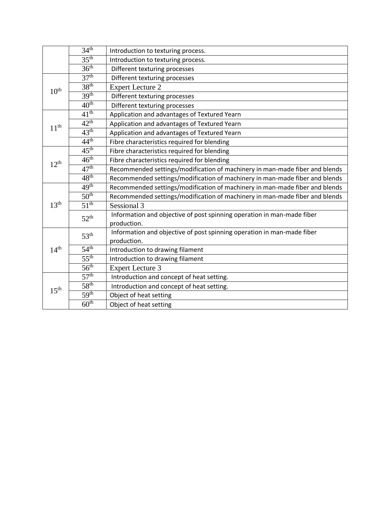|                  | 34 <sup>th</sup> | Introduction to texturing process.                                          |  |  |
|------------------|------------------|-----------------------------------------------------------------------------|--|--|
|                  | 35 <sup>th</sup> | Introduction to texturing process.                                          |  |  |
|                  | 36 <sup>th</sup> | Different texturing processes                                               |  |  |
|                  | 37 <sup>th</sup> | Different texturing processes                                               |  |  |
| 10 <sup>th</sup> | 38 <sup>th</sup> | <b>Expert Lecture 2</b>                                                     |  |  |
|                  | 39 <sup>th</sup> | Different texturing processes                                               |  |  |
|                  | 40 <sup>th</sup> | Different texturing processes                                               |  |  |
|                  | 41 <sup>th</sup> | Application and advantages of Textured Yearn                                |  |  |
| 11 <sup>th</sup> | $42^{\text{th}}$ | Application and advantages of Textured Yearn                                |  |  |
|                  | 43 <sup>th</sup> | Application and advantages of Textured Yearn                                |  |  |
|                  | 44 <sup>th</sup> | Fibre characteristics required for blending                                 |  |  |
|                  | 45 <sup>th</sup> | Fibre characteristics required for blending                                 |  |  |
| $12^{th}$        | 46 <sup>th</sup> | Fibre characteristics required for blending                                 |  |  |
|                  | 47 <sup>th</sup> | Recommended settings/modification of machinery in man-made fiber and blends |  |  |
|                  | 48 <sup>th</sup> | Recommended settings/modification of machinery in man-made fiber and blends |  |  |
|                  | 49 <sup>th</sup> | Recommended settings/modification of machinery in man-made fiber and blends |  |  |
|                  | 50 <sup>th</sup> | Recommended settings/modification of machinery in man-made fiber and blends |  |  |
| 13 <sup>th</sup> | 51 <sup>th</sup> | Sessional 3                                                                 |  |  |
|                  | 52 <sup>th</sup> | Information and objective of post spinning operation in man-made fiber      |  |  |
|                  |                  | production.                                                                 |  |  |
|                  | 53 <sup>th</sup> | Information and objective of post spinning operation in man-made fiber      |  |  |
|                  |                  | production.                                                                 |  |  |
| 14 <sup>th</sup> | 54 <sup>th</sup> | Introduction to drawing filament                                            |  |  |
|                  | 55 <sup>th</sup> | Introduction to drawing filament                                            |  |  |
|                  | 56 <sup>th</sup> | <b>Expert Lecture 3</b>                                                     |  |  |
|                  | 57 <sup>th</sup> | Introduction and concept of heat setting.                                   |  |  |
| 15 <sup>th</sup> | 58 <sup>th</sup> | Introduction and concept of heat setting.                                   |  |  |
|                  | 59 <sup>th</sup> | Object of heat setting                                                      |  |  |
|                  | 60 <sup>th</sup> | Object of heat setting                                                      |  |  |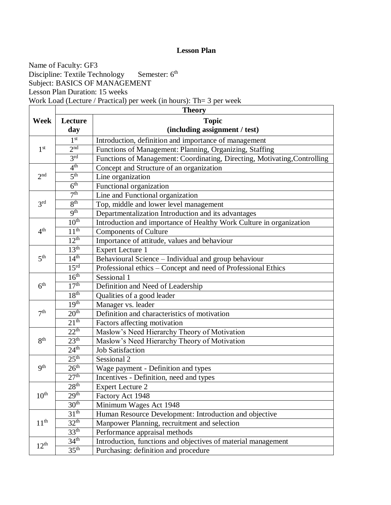Name of Faculty: GF3 Discipline: Textile Technology Semester: 6 Semester: 6<sup>th</sup> Subject: BASICS OF MANAGEMENT Lesson Plan Duration: 15 weeks Work Load (Lecture / Practical) per week (in hours): Th= 3 per week

|                  | <b>Theory</b>    |                                                                           |  |  |  |  |
|------------------|------------------|---------------------------------------------------------------------------|--|--|--|--|
| <b>Week</b>      | Lecture          | <b>Topic</b>                                                              |  |  |  |  |
|                  | day              | (including assignment / test)                                             |  |  |  |  |
|                  | 1 <sup>st</sup>  | Introduction, definition and importance of management                     |  |  |  |  |
| 1 <sup>st</sup>  | 2 <sup>nd</sup>  | Functions of Management: Planning, Organizing, Staffing                   |  |  |  |  |
|                  | 3 <sup>rd</sup>  | Functions of Management: Coordinating, Directing, Motivating, Controlling |  |  |  |  |
|                  | 4 <sup>th</sup>  | Concept and Structure of an organization                                  |  |  |  |  |
| 2 <sub>nd</sub>  | 5 <sup>th</sup>  | Line organization                                                         |  |  |  |  |
|                  | 6 <sup>th</sup>  | Functional organization                                                   |  |  |  |  |
|                  | 7 <sup>th</sup>  | Line and Functional organization                                          |  |  |  |  |
| 3 <sup>rd</sup>  | 8 <sup>th</sup>  | Top, middle and lower level management                                    |  |  |  |  |
|                  | 9 <sup>th</sup>  | Departmentalization Introduction and its advantages                       |  |  |  |  |
|                  | 10 <sup>th</sup> | Introduction and importance of Healthy Work Culture in organization       |  |  |  |  |
| 4 <sup>th</sup>  | 11 <sup>th</sup> | <b>Components of Culture</b>                                              |  |  |  |  |
|                  | 12 <sup>th</sup> | Importance of attitude, values and behaviour                              |  |  |  |  |
|                  | 13 <sup>th</sup> | <b>Expert Lecture 1</b>                                                   |  |  |  |  |
| 5 <sup>th</sup>  | 14 <sup>th</sup> | Behavioural Science - Individual and group behaviour                      |  |  |  |  |
|                  | 15 <sup>rd</sup> | Professional ethics – Concept and need of Professional Ethics             |  |  |  |  |
|                  | 16 <sup>th</sup> | Sessional 1                                                               |  |  |  |  |
| 6 <sup>th</sup>  | 17 <sup>th</sup> | Definition and Need of Leadership                                         |  |  |  |  |
|                  | 18 <sup>th</sup> | Qualities of a good leader                                                |  |  |  |  |
|                  | 19 <sup>th</sup> | Manager vs. leader                                                        |  |  |  |  |
| 7 <sup>th</sup>  | 20 <sup>th</sup> | Definition and characteristics of motivation                              |  |  |  |  |
|                  | 21 <sup>th</sup> | Factors affecting motivation                                              |  |  |  |  |
|                  | 22 <sup>th</sup> | Maslow's Need Hierarchy Theory of Motivation                              |  |  |  |  |
| 8 <sup>th</sup>  | 23 <sup>th</sup> | Maslow's Need Hierarchy Theory of Motivation                              |  |  |  |  |
|                  | 24 <sup>th</sup> | <b>Job Satisfaction</b>                                                   |  |  |  |  |
|                  | 25 <sup>th</sup> | Sessional 2                                                               |  |  |  |  |
| <b>9th</b>       | 26 <sup>th</sup> | Wage payment - Definition and types                                       |  |  |  |  |
|                  | 27 <sup>th</sup> | Incentives - Definition, need and types                                   |  |  |  |  |
|                  | 28 <sup>th</sup> | <b>Expert Lecture 2</b>                                                   |  |  |  |  |
| 10 <sup>th</sup> | 29 <sup>th</sup> | Factory Act 1948                                                          |  |  |  |  |
|                  | 30 <sup>th</sup> | Minimum Wages Act 1948                                                    |  |  |  |  |
|                  | 31 <sup>th</sup> | Human Resource Development: Introduction and objective                    |  |  |  |  |
| 11 <sup>th</sup> | 32 <sup>th</sup> | Manpower Planning, recruitment and selection                              |  |  |  |  |
|                  | 33 <sup>th</sup> | Performance appraisal methods                                             |  |  |  |  |
| $12^{th}$        | 34 <sup>th</sup> | Introduction, functions and objectives of material management             |  |  |  |  |
|                  | 35 <sup>th</sup> | Purchasing: definition and procedure                                      |  |  |  |  |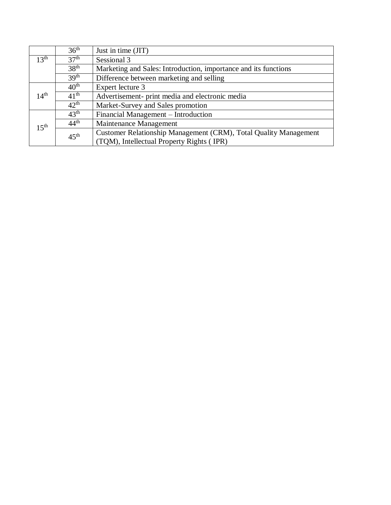|                                                         | 36 <sup>th</sup> | Just in time (JIT)                                               |  |  |  |
|---------------------------------------------------------|------------------|------------------------------------------------------------------|--|--|--|
| 13 <sup>th</sup>                                        | 37 <sup>th</sup> | Sessional 3                                                      |  |  |  |
|                                                         | 38 <sup>th</sup> | Marketing and Sales: Introduction, importance and its functions  |  |  |  |
|                                                         | 39 <sup>th</sup> | Difference between marketing and selling                         |  |  |  |
|                                                         | $40^{\rm th}$    | Expert lecture 3                                                 |  |  |  |
| $14^{\rm th}$                                           | $41^{\text{th}}$ | Advertisement- print media and electronic media                  |  |  |  |
|                                                         | $42^{\text{th}}$ | Market-Survey and Sales promotion                                |  |  |  |
| $43^{\text{th}}$<br>Financial Management – Introduction |                  |                                                                  |  |  |  |
| 1.5 <sup>th</sup>                                       | $44^{\text{th}}$ | Maintenance Management                                           |  |  |  |
|                                                         | $45^{\text{th}}$ | Customer Relationship Management (CRM), Total Quality Management |  |  |  |
|                                                         |                  | (TQM), Intellectual Property Rights (IPR)                        |  |  |  |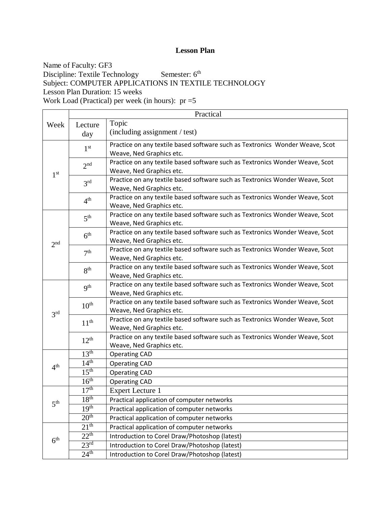Name of Faculty: GF3 Discipline: Textile Technology Semester: 6<sup>th</sup> Subject: COMPUTER APPLICATIONS IN TEXTILE TECHNOLOGY Lesson Plan Duration: 15 weeks Work Load (Practical) per week (in hours): pr =5

|                 | Practical        |                                                                                                          |  |  |
|-----------------|------------------|----------------------------------------------------------------------------------------------------------|--|--|
| Week            | Lecture          | Topic                                                                                                    |  |  |
|                 | day              | (including assignment / test)                                                                            |  |  |
|                 | 1 <sup>st</sup>  | Practice on any textile based software such as Textronics Wonder Weave, Scot                             |  |  |
|                 |                  | Weave, Ned Graphics etc.                                                                                 |  |  |
|                 | 2 <sup>nd</sup>  | Practice on any textile based software such as Textronics Wonder Weave, Scot                             |  |  |
| 1 <sup>st</sup> |                  | Weave, Ned Graphics etc.                                                                                 |  |  |
|                 | 3 <sup>rd</sup>  | Practice on any textile based software such as Textronics Wonder Weave, Scot                             |  |  |
|                 |                  | Weave, Ned Graphics etc.                                                                                 |  |  |
|                 | 4 <sup>th</sup>  | Practice on any textile based software such as Textronics Wonder Weave, Scot                             |  |  |
|                 |                  | Weave, Ned Graphics etc.                                                                                 |  |  |
|                 | 5 <sup>th</sup>  | Practice on any textile based software such as Textronics Wonder Weave, Scot                             |  |  |
|                 |                  | Weave, Ned Graphics etc.                                                                                 |  |  |
|                 | 6 <sup>th</sup>  | Practice on any textile based software such as Textronics Wonder Weave, Scot<br>Weave, Ned Graphics etc. |  |  |
| 2 <sup>nd</sup> |                  | Practice on any textile based software such as Textronics Wonder Weave, Scot                             |  |  |
|                 | 7 <sup>th</sup>  | Weave, Ned Graphics etc.                                                                                 |  |  |
|                 |                  | Practice on any textile based software such as Textronics Wonder Weave, Scot                             |  |  |
|                 | 8 <sup>th</sup>  | Weave, Ned Graphics etc.                                                                                 |  |  |
|                 |                  | Practice on any textile based software such as Textronics Wonder Weave, Scot                             |  |  |
|                 | 9 <sup>th</sup>  | Weave, Ned Graphics etc.                                                                                 |  |  |
|                 | $10^{\text{th}}$ | Practice on any textile based software such as Textronics Wonder Weave, Scot                             |  |  |
| 3 <sup>rd</sup> |                  | Weave, Ned Graphics etc.                                                                                 |  |  |
|                 | 11 <sup>th</sup> | Practice on any textile based software such as Textronics Wonder Weave, Scot                             |  |  |
|                 |                  | Weave, Ned Graphics etc.                                                                                 |  |  |
|                 | $12^{th}$        | Practice on any textile based software such as Textronics Wonder Weave, Scot                             |  |  |
|                 |                  | Weave, Ned Graphics etc.                                                                                 |  |  |
|                 | 13 <sup>th</sup> | <b>Operating CAD</b>                                                                                     |  |  |
| 4 <sup>th</sup> | 14 <sup>th</sup> | <b>Operating CAD</b>                                                                                     |  |  |
|                 | 15 <sup>th</sup> | <b>Operating CAD</b>                                                                                     |  |  |
|                 | 16 <sup>th</sup> | <b>Operating CAD</b>                                                                                     |  |  |
|                 | 17 <sup>th</sup> | <b>Expert Lecture 1</b>                                                                                  |  |  |
| 5 <sup>th</sup> | 18 <sup>th</sup> | Practical application of computer networks                                                               |  |  |
|                 | 19 <sup>th</sup> | Practical application of computer networks                                                               |  |  |
|                 | 20 <sup>th</sup> | Practical application of computer networks                                                               |  |  |
|                 | 21 <sup>th</sup> | Practical application of computer networks                                                               |  |  |
| 6 <sup>th</sup> | $22^{th}$        | Introduction to Corel Draw/Photoshop (latest)                                                            |  |  |
|                 | $23^{\text{rd}}$ | Introduction to Corel Draw/Photoshop (latest)                                                            |  |  |
|                 | 24 <sup>th</sup> | Introduction to Corel Draw/Photoshop (latest)                                                            |  |  |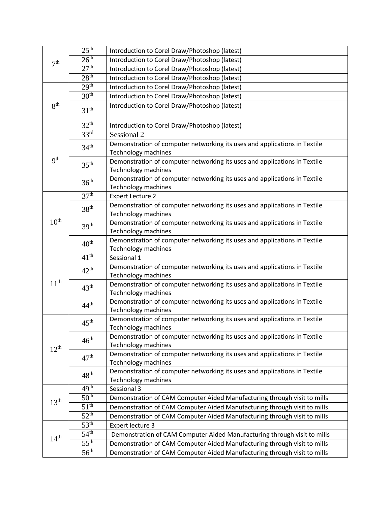| 7 <sup>th</sup>  | 25 <sup>th</sup> | Introduction to Corel Draw/Photoshop (latest)                                                           |
|------------------|------------------|---------------------------------------------------------------------------------------------------------|
|                  | 26 <sup>th</sup> | Introduction to Corel Draw/Photoshop (latest)                                                           |
|                  | 27 <sup>th</sup> | Introduction to Corel Draw/Photoshop (latest)                                                           |
|                  | 28 <sup>th</sup> | Introduction to Corel Draw/Photoshop (latest)                                                           |
|                  | 29 <sup>th</sup> | Introduction to Corel Draw/Photoshop (latest)                                                           |
|                  | 30 <sup>th</sup> | Introduction to Corel Draw/Photoshop (latest)                                                           |
| 8 <sup>th</sup>  | 31 <sup>th</sup> | Introduction to Corel Draw/Photoshop (latest)                                                           |
|                  | 32 <sup>th</sup> | Introduction to Corel Draw/Photoshop (latest)                                                           |
|                  | 33 <sup>rd</sup> | Sessional 2                                                                                             |
|                  | 34 <sup>th</sup> | Demonstration of computer networking its uses and applications in Textile<br><b>Technology machines</b> |
| 9 <sup>th</sup>  | 35 <sup>th</sup> | Demonstration of computer networking its uses and applications in Textile<br><b>Technology machines</b> |
|                  | 36 <sup>th</sup> | Demonstration of computer networking its uses and applications in Textile<br><b>Technology machines</b> |
|                  | 37 <sup>th</sup> | <b>Expert Lecture 2</b>                                                                                 |
|                  | 38 <sup>th</sup> | Demonstration of computer networking its uses and applications in Textile<br><b>Technology machines</b> |
| 10 <sup>th</sup> | 39 <sup>th</sup> | Demonstration of computer networking its uses and applications in Textile<br><b>Technology machines</b> |
|                  | 40 <sup>th</sup> | Demonstration of computer networking its uses and applications in Textile<br><b>Technology machines</b> |
|                  | 41 <sup>th</sup> | Sessional 1                                                                                             |
|                  |                  | Demonstration of computer networking its uses and applications in Textile                               |
|                  | $42^{\text{th}}$ | <b>Technology machines</b>                                                                              |
| 11 <sup>th</sup> | 43 <sup>th</sup> | Demonstration of computer networking its uses and applications in Textile                               |
|                  |                  | <b>Technology machines</b>                                                                              |
|                  | 44 <sup>th</sup> | Demonstration of computer networking its uses and applications in Textile                               |
|                  |                  | <b>Technology machines</b>                                                                              |
|                  | 45 <sup>th</sup> | Demonstration of computer networking its uses and applications in Textile                               |
|                  |                  | Technology machines                                                                                     |
|                  | $46^{\text{th}}$ | Demonstration of computer networking its uses and applications in Textile                               |
| $12^{th}$        |                  | <b>Technology machines</b>                                                                              |
|                  | 47 <sup>th</sup> | Demonstration of computer networking its uses and applications in Textile                               |
|                  |                  | Technology machines                                                                                     |
|                  | 48 <sup>th</sup> | Demonstration of computer networking its uses and applications in Textile<br>Technology machines        |
|                  | 49 <sup>th</sup> | Sessional 3                                                                                             |
| 13 <sup>th</sup> | 50 <sup>th</sup> | Demonstration of CAM Computer Aided Manufacturing through visit to mills                                |
|                  | 51 <sup>th</sup> | Demonstration of CAM Computer Aided Manufacturing through visit to mills                                |
|                  | $52^{\text{th}}$ | Demonstration of CAM Computer Aided Manufacturing through visit to mills                                |
|                  | 53 <sup>th</sup> | Expert lecture 3                                                                                        |
|                  | $54^{\text{th}}$ | Demonstration of CAM Computer Aided Manufacturing through visit to mills                                |
| 14 <sup>th</sup> | 55 <sup>th</sup> | Demonstration of CAM Computer Aided Manufacturing through visit to mills                                |
|                  | 56 <sup>th</sup> |                                                                                                         |
|                  |                  | Demonstration of CAM Computer Aided Manufacturing through visit to mills                                |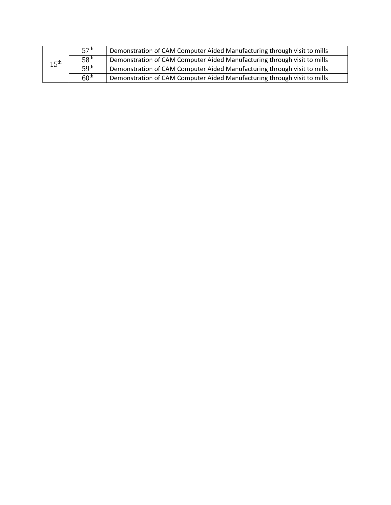| $15^{\text{th}}$ | 57 <sup>th</sup> | Demonstration of CAM Computer Aided Manufacturing through visit to mills |
|------------------|------------------|--------------------------------------------------------------------------|
|                  | 58 <sup>th</sup> | Demonstration of CAM Computer Aided Manufacturing through visit to mills |
|                  | 5Q <sup>th</sup> | Demonstration of CAM Computer Aided Manufacturing through visit to mills |
|                  | 60 <sup>th</sup> | Demonstration of CAM Computer Aided Manufacturing through visit to mills |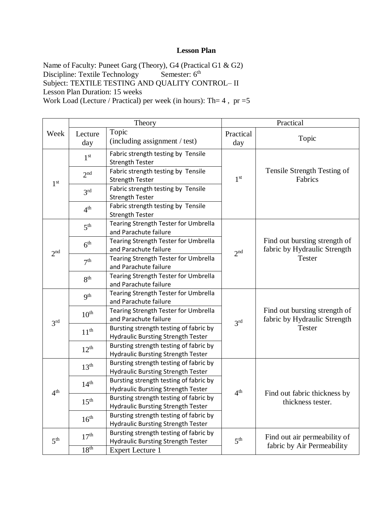Name of Faculty: Puneet Garg (Theory), G4 (Practical G1 & G2) Discipline: Textile Technology Semester: 6<sup>th</sup> Subject: TEXTILE TESTING AND QUALITY CONTROL– II Lesson Plan Duration: 15 weeks Work Load (Lecture / Practical) per week (in hours): Th= 4 , pr =5

|                 | Theory           |                                                                                     | Practical       |                                                                                |
|-----------------|------------------|-------------------------------------------------------------------------------------|-----------------|--------------------------------------------------------------------------------|
| Week            | Lecture          | Topic                                                                               | Practical       |                                                                                |
|                 | day              | (including assignment / test)                                                       | day             | Topic                                                                          |
|                 | 1 <sup>st</sup>  | Fabric strength testing by Tensile                                                  |                 |                                                                                |
|                 |                  | <b>Strength Tester</b>                                                              |                 |                                                                                |
|                 | 2 <sup>nd</sup>  | Fabric strength testing by Tensile                                                  |                 | Tensile Strength Testing of                                                    |
| 1 <sup>st</sup> |                  | <b>Strength Tester</b>                                                              | 1 <sup>st</sup> | Fabrics                                                                        |
|                 | 3 <sup>rd</sup>  | Fabric strength testing by Tensile                                                  |                 |                                                                                |
|                 |                  | <b>Strength Tester</b>                                                              |                 |                                                                                |
|                 | 4 <sup>th</sup>  | Fabric strength testing by Tensile                                                  |                 |                                                                                |
|                 |                  | <b>Strength Tester</b>                                                              |                 |                                                                                |
|                 | 5 <sup>th</sup>  | Tearing Strength Tester for Umbrella                                                |                 |                                                                                |
|                 |                  | and Parachute failure                                                               |                 |                                                                                |
|                 | 6 <sup>th</sup>  | Tearing Strength Tester for Umbrella                                                |                 | Find out bursting strength of                                                  |
| 2 <sup>nd</sup> |                  | and Parachute failure                                                               | 2 <sup>nd</sup> | fabric by Hydraulic Strength                                                   |
|                 | 7 <sup>th</sup>  | Tearing Strength Tester for Umbrella                                                |                 | <b>Tester</b>                                                                  |
|                 |                  | and Parachute failure                                                               |                 |                                                                                |
|                 | 8 <sup>th</sup>  | Tearing Strength Tester for Umbrella                                                |                 |                                                                                |
|                 |                  | and Parachute failure                                                               |                 |                                                                                |
|                 | 9 <sup>th</sup>  | Tearing Strength Tester for Umbrella                                                |                 | Find out bursting strength of<br>fabric by Hydraulic Strength<br><b>Tester</b> |
|                 |                  | and Parachute failure                                                               |                 |                                                                                |
|                 | 10 <sup>th</sup> | Tearing Strength Tester for Umbrella                                                | 3 <sup>rd</sup> |                                                                                |
| 3 <sup>rd</sup> |                  | and Parachute failure                                                               |                 |                                                                                |
|                 | 11 <sup>th</sup> | Bursting strength testing of fabric by                                              |                 |                                                                                |
|                 |                  | <b>Hydraulic Bursting Strength Tester</b>                                           |                 |                                                                                |
|                 | $12^{th}$        | Bursting strength testing of fabric by                                              |                 |                                                                                |
|                 |                  | <b>Hydraulic Bursting Strength Tester</b>                                           |                 |                                                                                |
|                 | 13 <sup>th</sup> | Bursting strength testing of fabric by                                              |                 | Find out fabric thickness by<br>thickness tester.                              |
|                 |                  | <b>Hydraulic Bursting Strength Tester</b>                                           |                 |                                                                                |
|                 | 14 <sup>th</sup> | Bursting strength testing of fabric by                                              |                 |                                                                                |
| 4 <sup>th</sup> |                  | <b>Hydraulic Bursting Strength Tester</b>                                           | 4 <sup>th</sup> |                                                                                |
|                 | 15 <sup>th</sup> | Bursting strength testing of fabric by                                              |                 |                                                                                |
|                 | 16 <sup>th</sup> | <b>Hydraulic Bursting Strength Tester</b>                                           |                 |                                                                                |
|                 |                  | Bursting strength testing of fabric by                                              |                 |                                                                                |
|                 |                  | <b>Hydraulic Bursting Strength Tester</b><br>Bursting strength testing of fabric by |                 |                                                                                |
| 5 <sup>th</sup> | 17 <sup>th</sup> | <b>Hydraulic Bursting Strength Tester</b>                                           | 5 <sup>th</sup> | Find out air permeability of                                                   |
|                 | 18 <sup>th</sup> |                                                                                     |                 | fabric by Air Permeability                                                     |
|                 |                  | <b>Expert Lecture 1</b>                                                             |                 |                                                                                |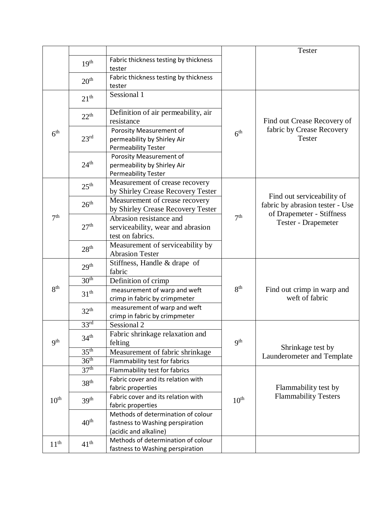|                  |                  |                                       |                  | <b>Tester</b>                                |
|------------------|------------------|---------------------------------------|------------------|----------------------------------------------|
|                  | 19 <sup>th</sup> | Fabric thickness testing by thickness |                  |                                              |
|                  |                  | tester                                |                  |                                              |
|                  | 20 <sup>th</sup> | Fabric thickness testing by thickness |                  |                                              |
|                  |                  | tester                                |                  |                                              |
|                  | 21 <sup>th</sup> | Sessional 1                           |                  |                                              |
|                  |                  |                                       |                  |                                              |
|                  | 22 <sup>th</sup> | Definition of air permeability, air   |                  |                                              |
|                  |                  | resistance                            |                  | Find out Crease Recovery of                  |
| 6 <sup>th</sup>  |                  | Porosity Measurement of               | 6 <sup>th</sup>  | fabric by Crease Recovery                    |
|                  | 23 <sup>rd</sup> | permeability by Shirley Air           |                  | <b>Tester</b>                                |
|                  |                  | <b>Permeability Tester</b>            |                  |                                              |
|                  |                  | Porosity Measurement of               |                  |                                              |
|                  | 24 <sup>th</sup> | permeability by Shirley Air           |                  |                                              |
|                  |                  | Permeability Tester                   |                  |                                              |
|                  | 25 <sup>th</sup> | Measurement of crease recovery        |                  |                                              |
|                  |                  | by Shirley Crease Recovery Tester     |                  | Find out serviceability of                   |
|                  | 26 <sup>th</sup> | Measurement of crease recovery        |                  | fabric by abrasion tester - Use              |
|                  |                  | by Shirley Crease Recovery Tester     |                  | of Drapemeter - Stiffness                    |
| 7 <sup>th</sup>  |                  | Abrasion resistance and               | 7 <sup>th</sup>  | Tester - Drapemeter                          |
|                  | 27 <sup>th</sup> | serviceability, wear and abrasion     |                  |                                              |
|                  |                  | test on fabrics.                      |                  |                                              |
|                  | 28 <sup>th</sup> | Measurement of serviceability by      |                  |                                              |
|                  |                  | <b>Abrasion Tester</b>                |                  |                                              |
|                  | 29 <sup>th</sup> | Stiffness, Handle & drape of          |                  |                                              |
|                  |                  | fabric                                |                  |                                              |
|                  | 30 <sup>th</sup> | Definition of crimp                   |                  |                                              |
| 8 <sup>th</sup>  | 31 <sup>th</sup> | measurement of warp and weft          | 8 <sup>th</sup>  | Find out crimp in warp and<br>weft of fabric |
|                  |                  | crimp in fabric by crimpmeter         |                  |                                              |
|                  | 32 <sup>th</sup> | measurement of warp and weft          |                  |                                              |
|                  |                  | crimp in fabric by crimpmeter         |                  |                                              |
|                  | 33 <sup>rd</sup> | Sessional <sub>2</sub>                |                  |                                              |
|                  | 34 <sup>th</sup> | Fabric shrinkage relaxation and       |                  |                                              |
| q <sup>th</sup>  |                  | felting                               | 9 <sup>th</sup>  | Shrinkage test by                            |
|                  | 35 <sup>th</sup> | Measurement of fabric shrinkage       |                  | Launderometer and Template                   |
|                  | 36 <sup>th</sup> | Flammability test for fabrics         |                  |                                              |
|                  | 37 <sup>th</sup> | Flammability test for fabrics         |                  |                                              |
| 10 <sup>th</sup> | 38 <sup>th</sup> | Fabric cover and its relation with    |                  |                                              |
|                  |                  | fabric properties                     |                  | Flammability test by                         |
|                  | 39 <sup>th</sup> | Fabric cover and its relation with    | 10 <sup>th</sup> | <b>Flammability Testers</b>                  |
|                  |                  | fabric properties                     |                  |                                              |
|                  | 40 <sup>th</sup> | Methods of determination of colour    |                  |                                              |
|                  |                  | fastness to Washing perspiration      |                  |                                              |
|                  |                  | (acidic and alkaline)                 |                  |                                              |
| 11 <sup>th</sup> | 41 <sup>th</sup> | Methods of determination of colour    |                  |                                              |
|                  |                  | fastness to Washing perspiration      |                  |                                              |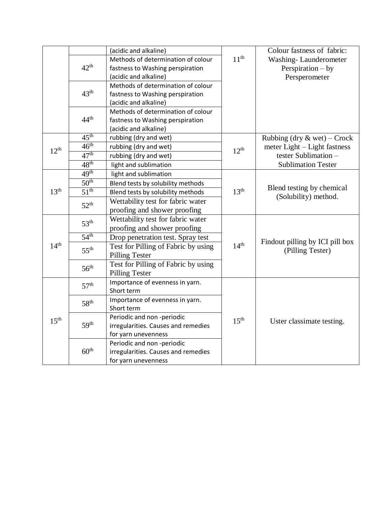|                  |                  | (acidic and alkaline)               |                  | Colour fastness of fabric:                          |
|------------------|------------------|-------------------------------------|------------------|-----------------------------------------------------|
|                  |                  | Methods of determination of colour  | 11 <sup>th</sup> | Washing-Launderometer                               |
|                  | $42^{\text{th}}$ | fastness to Washing perspiration    |                  | Perspiration $-$ by                                 |
|                  |                  | (acidic and alkaline)               |                  | Persperometer                                       |
|                  |                  | Methods of determination of colour  |                  |                                                     |
|                  | 43 <sup>th</sup> | fastness to Washing perspiration    |                  |                                                     |
|                  |                  | (acidic and alkaline)               |                  |                                                     |
|                  |                  | Methods of determination of colour  |                  |                                                     |
|                  | $44^{\text{th}}$ | fastness to Washing perspiration    |                  |                                                     |
|                  |                  | (acidic and alkaline)               |                  |                                                     |
|                  | $45^{\text{th}}$ | rubbing (dry and wet)               |                  | Rubbing (dry $\&$ wet) – Crock                      |
| $12^{th}$        | $46^{\text{th}}$ | rubbing (dry and wet)               | $12^{th}$        | meter Light – Light fastness                        |
|                  | 47 <sup>th</sup> | rubbing (dry and wet)               |                  | tester Sublimation -                                |
|                  | 48 <sup>th</sup> | light and sublimation               |                  | <b>Sublimation Tester</b>                           |
|                  | 49 <sup>th</sup> | light and sublimation               |                  |                                                     |
|                  | 50 <sup>th</sup> | Blend tests by solubility methods   |                  |                                                     |
| 13 <sup>th</sup> | 51 <sup>th</sup> | Blend tests by solubility methods   | 13 <sup>th</sup> | Blend testing by chemical<br>(Solubility) method.   |
|                  | $52^{\text{th}}$ | Wettability test for fabric water   |                  |                                                     |
|                  |                  | proofing and shower proofing        |                  |                                                     |
|                  | 53 <sup>th</sup> | Wettability test for fabric water   |                  |                                                     |
|                  |                  | proofing and shower proofing        |                  |                                                     |
|                  | 54 <sup>th</sup> | Drop penetration test. Spray test   |                  |                                                     |
| 14 <sup>th</sup> | $55^{th}$        | Test for Pilling of Fabric by using | 14 <sup>th</sup> | Findout pilling by ICI pill box<br>(Pilling Tester) |
|                  |                  | <b>Pilling Tester</b>               |                  |                                                     |
|                  | 56 <sup>th</sup> | Test for Pilling of Fabric by using |                  |                                                     |
|                  |                  | <b>Pilling Tester</b>               |                  |                                                     |
|                  | 57 <sup>th</sup> | Importance of evenness in yarn.     |                  | Uster classimate testing.                           |
|                  |                  | Short term                          |                  |                                                     |
|                  | 58 <sup>th</sup> | Importance of evenness in yarn.     |                  |                                                     |
|                  |                  | Short term                          |                  |                                                     |
| 15 <sup>th</sup> |                  | Periodic and non-periodic           | 15 <sup>th</sup> |                                                     |
|                  | 59 <sup>th</sup> | irregularities. Causes and remedies |                  |                                                     |
|                  |                  | for yarn unevenness                 |                  |                                                     |
|                  |                  | Periodic and non-periodic           |                  |                                                     |
|                  | 60 <sup>th</sup> | irregularities. Causes and remedies |                  |                                                     |
|                  |                  | for yarn unevenness                 |                  |                                                     |